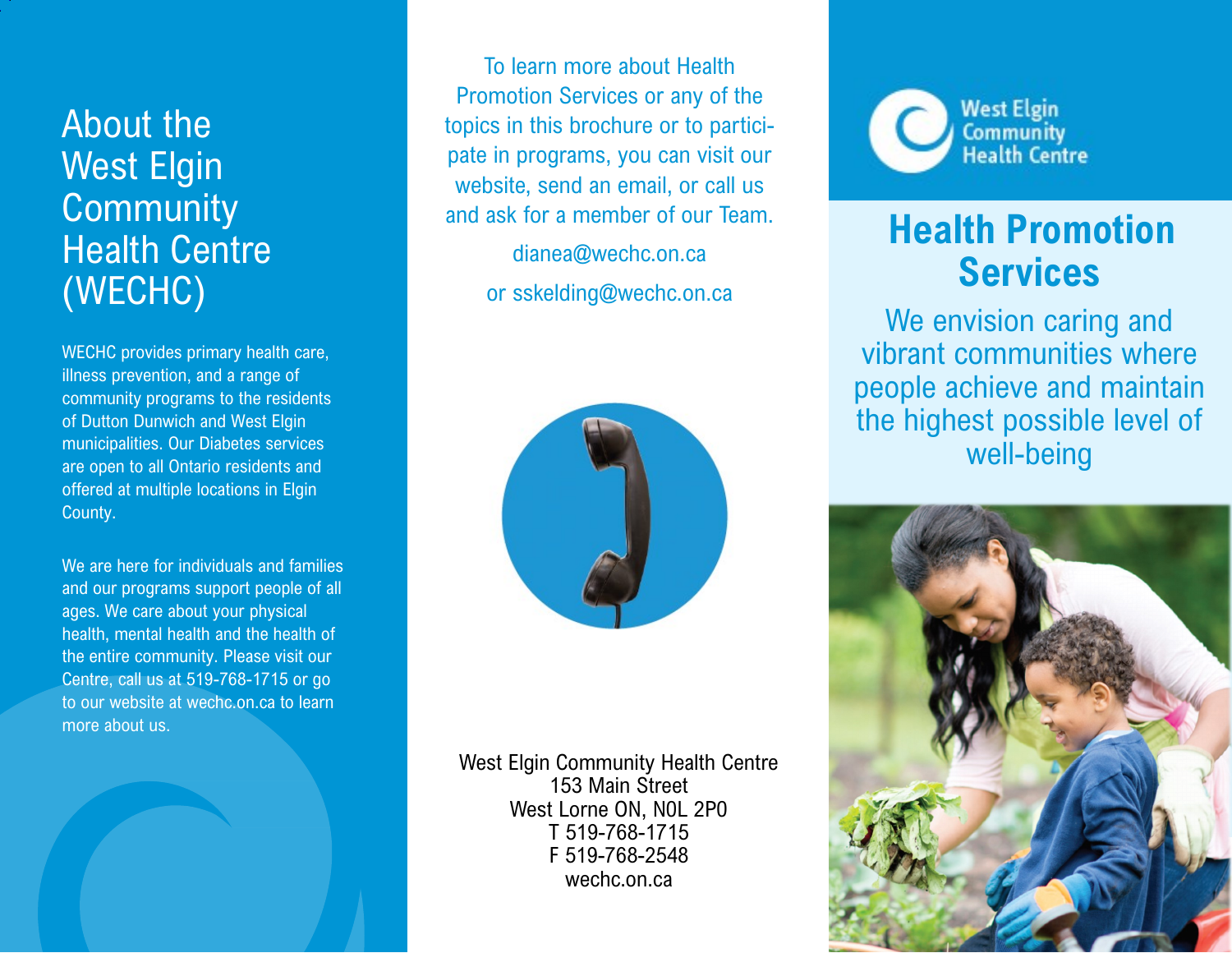# About the West Elgin **Community** Health Centre (WECHC)

WECHC provides primary health care, illness prevention, and a range of community programs to the residents of Dutton Dunwich and West Elgin municipalities. Our Diabetes services are open to all Ontario residents and offered at multiple locations in Elgin County.

We are here for individuals and families and our programs support people of all ages. We care about your physical health, mental health and the health of the entire community. Please visit our Centre, call us at 519-768-1715 or go to our website at wechc.on.ca to learn more about us.

To learn more about Health Promotion Services or any of the topics in this brochure or to participate in programs, you can visit our website, send an email, or call us and ask for a member of our Team.

> dianea@wechc.on.ca or sskelding@wechc.on.ca



West Elgin Community Health Centre 153 Main Street West Lorne ON, N0L 2P0 T 519-768-1715 F 519-768-2548 wechc.on.ca



## **Health Promotion Services**

We envision caring and vibrant communities where people achieve and maintain the highest possible level of well-being